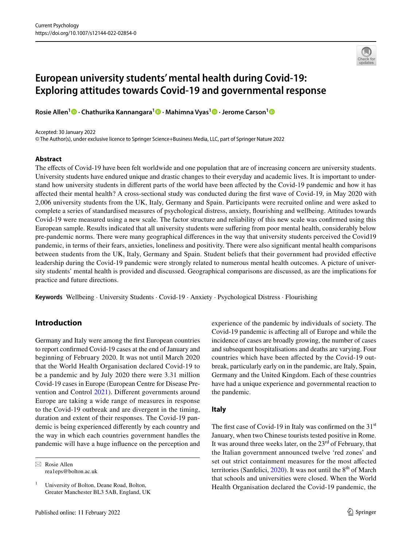# **European university students' mental health during Covid‑19: Exploring attitudes towards Covid‑19 and governmental response**

**Rosie Allen1 · Chathurika Kannangara1  [·](http://orcid.org/0000-0001-6955-8158) Mahimna Vyas[1](http://orcid.org/0000-0003-4664-9510) · Jerome Carson[1](http://orcid.org/0000-0002-7596-116X)**

#### Accepted: 30 January 2022

© The Author(s), under exclusive licence to Springer Science+Business Media, LLC, part of Springer Nature 2022

### **Abstract**

The efects of Covid-19 have been felt worldwide and one population that are of increasing concern are university students. University students have endured unique and drastic changes to their everyday and academic lives. It is important to understand how university students in diferent parts of the world have been afected by the Covid-19 pandemic and how it has afected their mental health? A cross-sectional study was conducted during the frst wave of Covid-19, in May 2020 with 2,006 university students from the UK, Italy, Germany and Spain. Participants were recruited online and were asked to complete a series of standardised measures of psychological distress, anxiety, fourishing and wellbeing. Attitudes towards Covid-19 were measured using a new scale. The factor structure and reliability of this new scale was confrmed using this European sample. Results indicated that all university students were sufering from poor mental health, considerably below pre-pandemic norms. There were many geographical diferences in the way that university students perceived the Covid19 pandemic, in terms of their fears, anxieties, loneliness and positivity. There were also signifcant mental health comparisons between students from the UK, Italy, Germany and Spain. Student beliefs that their government had provided efective leadership during the Covid-19 pandemic were strongly related to numerous mental health outcomes. A picture of university students' mental health is provided and discussed. Geographical comparisons are discussed, as are the implications for practice and future directions.

**Keywords** Wellbeing · University Students · Covid-19 · Anxiety · Psychological Distress · Flourishing

# **Introduction**

Germany and Italy were among the frst European countries to report confrmed Covid-19 cases at the end of January and beginning of February 2020. It was not until March 2020 that the World Health Organisation declared Covid-19 to be a pandemic and by July 2020 there were 3.31 million Covid-19 cases in Europe (European Centre for Disease Prevention and Control [2021\)](#page-12-0). Diferent governments around Europe are taking a wide range of measures in response to the Covid-19 outbreak and are divergent in the timing, duration and extent of their responses. The Covid-19 pandemic is being experienced diferently by each country and the way in which each countries government handles the pandemic will have a huge infuence on the perception and

 $\boxtimes$  Rosie Allen rea1eps@bolton.ac.uk

<sup>1</sup> University of Bolton, Deane Road, Bolton, Greater Manchester BL3 5AB, England, UK experience of the pandemic by individuals of society. The Covid-19 pandemic is afecting all of Europe and while the incidence of cases are broadly growing, the number of cases and subsequent hospitalisations and deaths are varying. Four countries which have been afected by the Covid-19 outbreak, particularly early on in the pandemic, are Italy, Spain, Germany and the United Kingdom. Each of these countries have had a unique experience and governmental reaction to the pandemic.

# **Italy**

The first case of Covid-19 in Italy was confirmed on the  $31<sup>st</sup>$ January, when two Chinese tourists tested positive in Rome. It was around three weeks later, on the  $23<sup>rd</sup>$  of February, that the Italian government announced twelve 'red zones' and set out strict containment measures for the most afected territories (Sanfelici,  $2020$ ). It was not until the  $8<sup>th</sup>$  of March that schools and universities were closed. When the World Health Organisation declared the Covid-19 pandemic, the

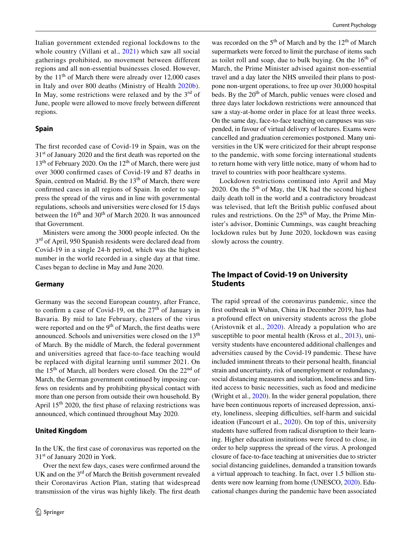Italian government extended regional lockdowns to the whole country (Villani et al., [2021](#page-13-1)) which saw all social gatherings prohibited, no movement between different regions and all non-essential businesses closed. However, by the  $11<sup>th</sup>$  of March there were already over 12,000 cases in Italy and over 800 deaths (Ministry of Health [2020b](#page-12-1)). In May, some restrictions were relaxed and by the  $3<sup>rd</sup>$  of June, people were allowed to move freely between diferent regions.

### **Spain**

The frst recorded case of Covid-19 in Spain, was on the 31st of January 2020 and the frst death was reported on the  $13<sup>th</sup>$  of February 2020. On the  $12<sup>th</sup>$  of March, there were just over 3000 confrmed cases of Covid-19 and 87 deaths in Spain, centred on Madrid. By the 13<sup>th</sup> of March, there were confrmed cases in all regions of Spain. In order to suppress the spread of the virus and in line with governmental regulations, schools and universities were closed for 15 days between the  $16<sup>th</sup>$  and  $30<sup>th</sup>$  of March 2020. It was announced that Government.

Ministers were among the 3000 people infected. On the 3<sup>rd</sup> of April, 950 Spanish residents were declared dead from Covid-19 in a single 24-h period, which was the highest number in the world recorded in a single day at that time. Cases began to decline in May and June 2020.

### **Germany**

Germany was the second European country, after France, to confirm a case of Covid-19, on the  $27<sup>th</sup>$  of January in Bavaria. By mid to late February, clusters of the virus were reported and on the  $9<sup>th</sup>$  of March, the first deaths were announced. Schools and universities were closed on the 13<sup>th</sup> of March. By the middle of March, the federal government and universities agreed that face-to-face teaching would be replaced with digital learning until summer 2021. On the  $15<sup>th</sup>$  of March, all borders were closed. On the  $22<sup>nd</sup>$  of March, the German government continued by imposing curfews on residents and by prohibiting physical contact with more than one person from outside their own household. By April  $15<sup>th</sup>$  2020, the first phase of relaxing restrictions was announced, which continued throughout May 2020.

# **United Kingdom**

In the UK, the frst case of coronavirus was reported on the 31<sup>st</sup> of January 2020 in York.

Over the next few days, cases were confrmed around the UK and on the  $3<sup>rd</sup>$  of March the British government revealed their Coronavirus Action Plan, stating that widespread transmission of the virus was highly likely. The frst death

was recorded on the  $5<sup>th</sup>$  of March and by the  $12<sup>th</sup>$  of March supermarkets were forced to limit the purchase of items such as toilet roll and soap, due to bulk buying. On the  $16<sup>th</sup>$  of March, the Prime Minister advised against non-essential travel and a day later the NHS unveiled their plans to postpone non-urgent operations, to free up over 30,000 hospital beds. By the  $20<sup>th</sup>$  of March, public venues were closed and three days later lockdown restrictions were announced that saw a stay-at-home order in place for at least three weeks. On the same day, face-to-face teaching on campuses was suspended, in favour of virtual delivery of lectures. Exams were cancelled and graduation ceremonies postponed. Many universities in the UK were criticized for their abrupt response to the pandemic, with some forcing international students to return home with very little notice, many of whom had to travel to countries with poor healthcare systems.

Lockdown restrictions continued into April and May 2020. On the  $5<sup>th</sup>$  of May, the UK had the second highest daily death toll in the world and a contradictory broadcast was televised, that left the British public confused about rules and restrictions. On the  $25<sup>th</sup>$  of May, the Prime Minister's advisor, Dominic Cummings, was caught breaching lockdown rules but by June 2020, lockdown was easing slowly across the country.

# **The Impact of Covid‑19 on University Students**

The rapid spread of the coronavirus pandemic, since the frst outbreak in Wuhan, China in December 2019, has had a profound efect on university students across the globe (Aristovnik et al., [2020\)](#page-12-2). Already a population who are susceptible to poor mental health (Kross et al., [2013](#page-12-3)), university students have encountered additional challenges and adversities caused by the Covid-19 pandemic. These have included imminent threats to their personal health, fnancial strain and uncertainty, risk of unemployment or redundancy, social distancing measures and isolation, loneliness and limited access to basic necessities, such as food and medicine (Wright et al., [2020\)](#page-13-2). In the wider general population, there have been continuous reports of increased depression, anxiety, loneliness, sleeping difficulties, self-harm and suicidal ideation (Fancourt et al., [2020](#page-12-4)). On top of this, university students have sufered from radical disruption to their learning. Higher education institutions were forced to close, in order to help suppress the spread of the virus. A prolonged closure of face-to-face teaching at universities due to stricter social distancing guidelines, demanded a transition towards a virtual approach to teaching. In fact, over 1.5 billion students were now learning from home (UNESCO, [2020](#page-13-3)). Educational changes during the pandemic have been associated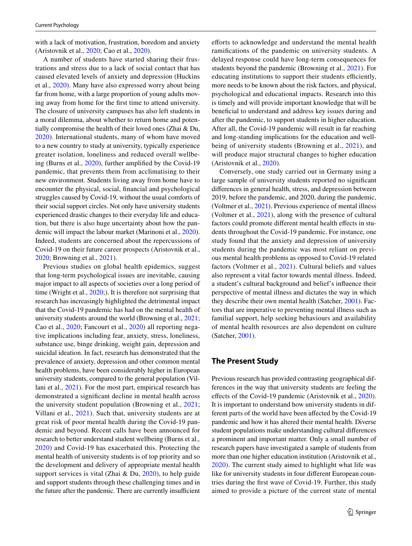with a lack of motivation, frustration, boredom and anxiety (Aristovnik et al., [2020;](#page-12-2) Cao et al., [2020](#page-12-5)).

A number of students have started sharing their frustrations and stress due to a lack of social contact that has caused elevated levels of anxiety and depression (Huckins et al., [2020\)](#page-12-6). Many have also expressed worry about being far from home, with a large proportion of young adults moving away from home for the frst time to attend university. The closure of university campuses has also left students in a moral dilemma, about whether to return home and potentially compromise the health of their loved ones (Zhai & Du, [2020](#page-13-4)). International students, many of whom have moved to a new country to study at university, typically experience greater isolation, loneliness and reduced overall wellbeing (Burns et al., [2020\)](#page-12-7), further amplifed by the Covid-19 pandemic, that prevents them from acclimatising to their new environment. Students living away from home have to encounter the physical, social, fnancial and psychological struggles caused by Covid-19, without the usual comforts of their social support circles. Not only have university students experienced drastic changes to their everyday life and education, but there is also huge uncertainty about how the pandemic will impact the labour market (Marinoni et al., [2020](#page-12-8)). Indeed, students are concerned about the repercussions of Covid-19 on their future career prospects (Aristovnik et al., [2020](#page-12-2); Browning et al., [2021\)](#page-12-9).

Previous studies on global health epidemics, suggest that long-term psychological issues are inevitable, causing major impact to all aspects of societies over a long period of time (Wright et al., [2020](#page-13-2);). It is therefore not surprising that research has increasingly highlighted the detrimental impact that the Covid-19 pandemic has had on the mental health of university students around the world (Browning et al., [2021](#page-12-9); Cao et al., [2020](#page-12-5); Fancourt et al., [2020\)](#page-12-4) all reporting negative implications including fear, anxiety, stress, loneliness, substance use, binge drinking, weight gain, depression and suicidal ideation. In fact, research has demonstrated that the prevalence of anxiety, depression and other common mental health problems, have been considerably higher in European university students, compared to the general population (Villani et al., [2021](#page-13-1)). For the most part, empirical research has demonstrated a signifcant decline in mental health across the university student population (Browning et al., [2021](#page-12-9); Villani et al., [2021\)](#page-13-1). Such that, university students are at great risk of poor mental health during the Covid-19 pandemic and beyond. Recent calls have been announced for research to better understand student wellbeing (Burns et al., [2020\)](#page-12-7) and Covid-19 has exacerbated this. Protecting the mental health of university students is of top priority and so the development and delivery of appropriate mental health support services is vital (Zhai & Du, [2020](#page-13-4)), to help guide and support students through these challenging times and in the future after the pandemic. There are currently insufficient efforts to acknowledge and understand the mental health ramifcations of the pandemic on university students. A delayed response could have long-term consequences for students beyond the pandemic (Browning et al., [2021\)](#page-12-9). For educating institutions to support their students efficiently, more needs to be known about the risk factors, and physical, psychological and educational impacts. Research into this is timely and will provide important knowledge that will be benefcial to understand and address key issues during and after the pandemic, to support students in higher education. After all, the Covid-19 pandemic will result in far reaching and long-standing implications for the education and wellbeing of university students (Browning et al., [2021](#page-12-9)), and will produce major structural changes to higher education (Aristovnik et al., [2020\)](#page-12-2).

Conversely, one study carried out in Germany using a large sample of university students reported no signifcant diferences in general health, stress, and depression between 2019, before the pandemic, and 2020, during the pandemic, (Voltmer et al., [2021](#page-13-5)). Previous experience of mental illness (Voltmer et al., [2021\)](#page-13-5), along with the presence of cultural factors could promote different mental health effects in students throughout the Covid-19 pandemic. For instance, one study found that the anxiety and depression of university students during the pandemic was most reliant on previous mental health problems as opposed to Covid-19 related factors (Voltmer et al., [2021\)](#page-13-5). Cultural beliefs and values also represent a vital factor towards mental illness. Indeed, a student's cultural background and belief's infuence their perspective of mental illness and dictates the way in which they describe their own mental health (Satcher, [2001](#page-13-6)). Factors that are imperative to preventing mental illness such as familial support, help seeking behaviours and availability of mental health resources are also dependent on culture (Satcher, [2001\)](#page-13-6).

# **The Present Study**

Previous research has provided contrasting geographical differences in the way that university students are feeling the efects of the Covid-19 pandemic (Aristovnik et al., [2020](#page-12-2)). It is important to understand how university students in different parts of the world have been afected by the Covid-19 pandemic and how it has altered their mental health. Diverse student populations make understanding cultural diferences a prominent and important matter. Only a small number of research papers have investigated a sample of students from more than one higher education institution (Aristovnik et al., [2020\)](#page-12-2). The current study aimed to highlight what life was like for university students in four diferent European countries during the frst wave of Covid-19. Further, this study aimed to provide a picture of the current state of mental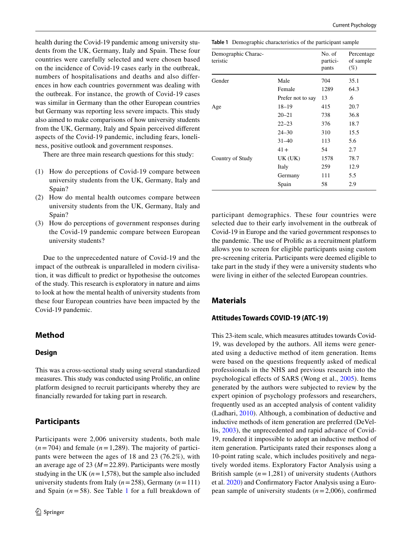health during the Covid-19 pandemic among university students from the UK, Germany, Italy and Spain. These four countries were carefully selected and were chosen based on the incidence of Covid-19 cases early in the outbreak, numbers of hospitalisations and deaths and also differences in how each countries government was dealing with the outbreak. For instance, the growth of Covid-19 cases was similar in Germany than the other European countries but Germany was reporting less severe impacts. This study also aimed to make comparisons of how university students from the UK, Germany, Italy and Spain perceived diferent aspects of the Covid-19 pandemic, including fears, loneliness, positive outlook and government responses.

There are three main research questions for this study:

- (1) How do perceptions of Covid-19 compare between university students from the UK, Germany, Italy and Spain?
- (2) How do mental health outcomes compare between university students from the UK, Germany, Italy and Spain?
- (3) How do perceptions of government responses during the Covid-19 pandemic compare between European university students?

Due to the unprecedented nature of Covid-19 and the impact of the outbreak is unparalleled in modern civilisation, it was difficult to predict or hypothesise the outcomes of the study. This research is exploratory in nature and aims to look at how the mental health of university students from these four European countries have been impacted by the Covid-19 pandemic.

# **Method**

### **Design**

This was a cross-sectional study using several standardized measures. This study was conducted using Prolifc, an online platform designed to recruit participants whereby they are fnancially rewarded for taking part in research.

# **Participants**

Participants were 2,006 university students, both male  $(n=704)$  and female  $(n=1,289)$ . The majority of participants were between the ages of 18 and 23 (76.2%), with an average age of 23 (*M*=22.89). Participants were mostly studying in the UK  $(n=1,578)$ , but the sample also included university students from Italy (*n*=258), Germany (*n*=111) and Spain  $(n=58)$ . See Table [1](#page-3-0) for a full breakdown of <span id="page-3-0"></span>**Table 1** Demographic characteristics of the participant sample

| Demographic Charac-<br>teristic |                   | No. of<br>partici-<br>pants | Percentage<br>of sample<br>$(\%)$ |
|---------------------------------|-------------------|-----------------------------|-----------------------------------|
| Gender                          | Male              | 704                         | 35.1                              |
|                                 | Female            | 1289                        | 64.3                              |
|                                 | Prefer not to say | 13                          | .6                                |
| Age                             | $18 - 19$         | 415                         | 20.7                              |
|                                 | $20 - 21$         | 738                         | 36.8                              |
|                                 | $22 - 23$         | 376                         | 18.7                              |
|                                 | $24 - 30$         | 310                         | 15.5                              |
|                                 | $31 - 40$         | 113                         | 5.6                               |
|                                 | $41+$             | 54                          | 2.7                               |
| Country of Study                | UK(UK)            | 1578                        | 78.7                              |
|                                 | Italy             | 259                         | 12.9                              |
|                                 | Germany           | 111                         | 5.5                               |
|                                 | Spain             | 58                          | 2.9                               |

participant demographics. These four countries were selected due to their early involvement in the outbreak of Covid-19 in Europe and the varied government responses to the pandemic. The use of Prolifc as a recruitment platform allows you to screen for eligible participants using custom pre-screening criteria. Participants were deemed eligible to take part in the study if they were a university students who were living in either of the selected European countries.

# **Materials**

### **Attitudes Towards COVID‑19 (ATC‑19)**

This 23-item scale, which measures attitudes towards Covid-19, was developed by the authors. All items were generated using a deductive method of item generation. Items were based on the questions frequently asked of medical professionals in the NHS and previous research into the psychological efects of SARS (Wong et al., [2005\)](#page-13-7). Items generated by the authors were subjected to review by the expert opinion of psychology professors and researchers, frequently used as an accepted analysis of content validity (Ladhari, [2010](#page-12-10)). Although, a combination of deductive and inductive methods of item generation are preferred (DeVellis, [2003\)](#page-12-11), the unprecedented and rapid advance of Covid-19, rendered it impossible to adopt an inductive method of item generation. Participants rated their responses along a 10-point rating scale, which includes positively and negatively worded items. Exploratory Factor Analysis using a British sample  $(n=1,281)$  of university students (Authors et al. [2020\)](#page-12-12) and Confrmatory Factor Analysis using a European sample of university students (*n*=2,006), confrmed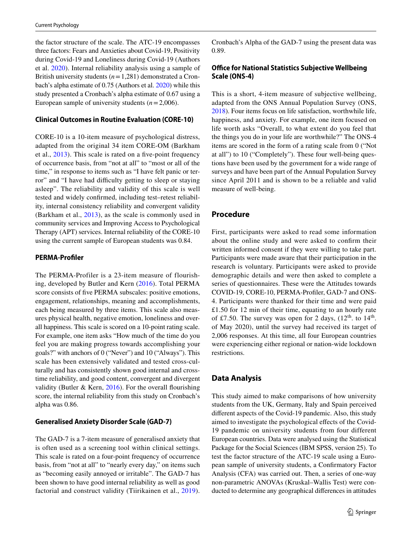the factor structure of the scale. The ATC-19 encompasses three factors: Fears and Anxieties about Covid-19, Positivity during Covid-19 and Loneliness during Covid-19 (Authors et al. [2020](#page-12-12)). Internal reliability analysis using a sample of British university students (*n*=1,281) demonstrated a Cronbach's alpha estimate of 0.75 (Authors et al. [2020](#page-12-12)) while this study presented a Cronbach's alpha estimate of 0.67 using a European sample of university students (*n*=2,006).

# **Clinical Outcomes in Routine Evaluation (CORE‑10)**

CORE-10 is a 10-item measure of psychological distress, adapted from the original 34 item CORE-OM (Barkham et al., [2013\)](#page-12-13). This scale is rated on a fve-point frequency of occurrence basis, from "not at all" to "most or all of the time," in response to items such as "I have felt panic or terror" and "I have had difficulty getting to sleep or staying asleep". The reliability and validity of this scale is well tested and widely confrmed, including test–retest reliability, internal consistency reliability and convergent validity (Barkham et al., [2013](#page-12-13)), as the scale is commonly used in community services and Improving Access to Psychological Therapy (APT) services. Internal reliability of the CORE-10 using the current sample of European students was 0.84.

### **PERMA‑Profler**

The PERMA-Profiler is a 23-item measure of flourishing, developed by Butler and Kern [\(2016\)](#page-12-14). Total PERMA score consists of fve PERMA subscales: positive emotions, engagement, relationships, meaning and accomplishments, each being measured by three items. This scale also measures physical health, negative emotion, loneliness and overall happiness. This scale is scored on a 10-point rating scale. For example, one item asks "How much of the time do you feel you are making progress towards accomplishing your goals?" with anchors of 0 ("Never") and 10 ("Always"). This scale has been extensively validated and tested cross-culturally and has consistently shown good internal and crosstime reliability, and good content, convergent and divergent validity (Butler & Kern,  $2016$ ). For the overall flourishing score, the internal reliability from this study on Cronbach's alpha was 0.86.

### **Generalised Anxiety Disorder Scale (GAD‑7)**

The GAD-7 is a 7-item measure of generalised anxiety that is often used as a screening tool within clinical settings. This scale is rated on a four-point frequency of occurrence basis, from "not at all" to "nearly every day," on items such as "becoming easily annoyed or irritable". The GAD-7 has been shown to have good internal reliability as well as good factorial and construct validity (Tiirikainen et al., [2019\)](#page-13-8). Cronbach's Alpha of the GAD-7 using the present data was 0.89.

# **Office for National Statistics Subjective Wellbeing Scale (ONS‑4)**

This is a short, 4-item measure of subjective wellbeing, adapted from the ONS Annual Population Survey (ONS, [2018](#page-12-15)). Four items focus on life satisfaction, worthwhile life, happiness, and anxiety. For example, one item focused on life worth asks "Overall, to what extent do you feel that the things you do in your life are worthwhile?" The ONS-4 items are scored in the form of a rating scale from 0 ("Not at all") to 10 ("Completely"). These four well-being questions have been used by the government for a wide range of surveys and have been part of the Annual Population Survey since April 2011 and is shown to be a reliable and valid measure of well-being.

### **Procedure**

First, participants were asked to read some information about the online study and were asked to confrm their written informed consent if they were willing to take part. Participants were made aware that their participation in the research is voluntary. Participants were asked to provide demographic details and were then asked to complete a series of questionnaires. These were the Attitudes towards COVID-19, CORE-10, PERMA-Profler, GAD-7 and ONS-4. Participants were thanked for their time and were paid £1.50 for 12 min of their time, equating to an hourly rate of £7.50. The survey was open for 2 days,  $(12^{th}$ . to  $14^{th}$ . of May 2020), until the survey had received its target of 2,006 responses. At this time, all four European countries were experiencing either regional or nation-wide lockdown restrictions.

# **Data Analysis**

This study aimed to make comparisons of how university students from the UK, Germany, Italy and Spain perceived diferent aspects of the Covid-19 pandemic. Also, this study aimed to investigate the psychological efects of the Covid-19 pandemic on university students from four different European countries. Data were analysed using the Statistical Package for the Social Sciences (IBM SPSS, version 25). To test the factor structure of the ATC-19 scale using a European sample of university students, a Confrmatory Factor Analysis (CFA) was carried out. Then, a series of one-way non-parametric ANOVAs (Kruskal–Wallis Test) were conducted to determine any geographical diferences in attitudes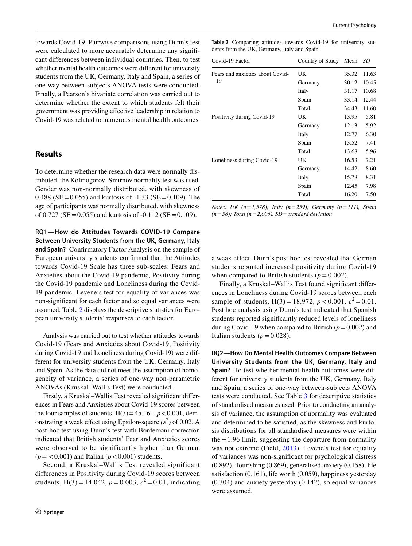towards Covid-19. Pairwise comparisons using Dunn's test were calculated to more accurately determine any signifcant diferences between individual countries. Then, to test whether mental health outcomes were diferent for university students from the UK, Germany, Italy and Spain, a series of one-way between-subjects ANOVA tests were conducted. Finally, a Pearson's bivariate correlation was carried out to determine whether the extent to which students felt their government was providing efective leadership in relation to Covid-19 was related to numerous mental health outcomes.

# **Results**

To determine whether the research data were normally distributed, the Kolmogorov–Smirnov normality test was used. Gender was non-normally distributed, with skewness of 0.488 (SE = 0.055) and kurtosis of  $-1.33$  (SE = 0.109). The age of participants was normally distributed, with skewness of  $0.727$  (SE = 0.055) and kurtosis of  $-0.112$  (SE = 0.109).

**RQ1—How do Attitudes Towards COVID‑19 Compare Between University Students from the UK, Germany, Italy and Spain?** Confrmatory Factor Analysis on the sample of European university students confrmed that the Attitudes towards Covid-19 Scale has three sub-scales: Fears and Anxieties about the Covid-19 pandemic, Positivity during the Covid-19 pandemic and Loneliness during the Covid-19 pandemic. Levene's test for equality of variances was non-signifcant for each factor and so equal variances were assumed. Table [2](#page-5-0) displays the descriptive statistics for European university students' responses to each factor.

Analysis was carried out to test whether attitudes towards Covid-19 (Fears and Anxieties about Covid-19, Positivity during Covid-19 and Loneliness during Covid-19) were different for university students from the UK, Germany, Italy and Spain. As the data did not meet the assumption of homogeneity of variance, a series of one-way non-parametric ANOVAs (Kruskal–Wallis Test) were conducted.

Firstly, a Kruskal–Wallis Test revealed signifcant diferences in Fears and Anxieties about Covid-19 scores between the four samples of students,  $H(3) = 45.161$ ,  $p < 0.001$ , demonstrating a weak effect using Epsilon-square  $(\varepsilon^2)$  of 0.02. A post-hoc test using Dunn's test with Bonferroni correction indicated that British students' Fear and Anxieties scores were observed to be significantly higher than German  $(p = 0.001)$  and Italian  $(p < 0.001)$  students.

Second, a Kruskal–Wallis Test revealed significant differences in Positivity during Covid-19 scores between students,  $H(3) = 14.042$ ,  $p = 0.003$ ,  $\varepsilon^2 = 0.01$ , indicating

<span id="page-5-0"></span>**Table 2** Comparing attitudes towards Covid-19 for university students from the UK, Germany, Italy and Spain

| Covid-19 Factor                        | Country of Study | Mean  | SD    |
|----------------------------------------|------------------|-------|-------|
| Fears and anxieties about Covid-<br>19 | UK               | 35.32 | 11.63 |
|                                        | Germany          | 30.12 | 10.45 |
|                                        | Italy            | 31.17 | 10.68 |
|                                        | Spain            | 33.14 | 12.44 |
|                                        | Total            | 34.43 | 11.60 |
| Positivity during Covid-19             | UK               | 13.95 | 5.81  |
|                                        | Germany          | 12.13 | 5.92  |
|                                        | Italy            | 12.77 | 6.30  |
|                                        | Spain            | 13.52 | 7.41  |
|                                        | Total            | 13.68 | 5.96  |
| Loneliness during Covid-19             | UK               | 16.53 | 7.21  |
|                                        | Germany          | 14.42 | 8.60  |
|                                        | Italy            | 15.78 | 8.31  |
|                                        | Spain            | 12.45 | 7.98  |
|                                        | Total            | 16.20 | 7.50  |

*Notes: UK (n*=*1,578); Italy (n*=*259); Germany (n*=*111), Spain (n*=*58); Total (n*=*2,006). SD*=*standard deviation*

a weak effect. Dunn's post hoc test revealed that German students reported increased positivity during Covid-19 when compared to British students  $(p = 0.002)$ .

Finally, a Kruskal–Wallis Test found signifcant diferences in Loneliness during Covid-19 scores between each sample of students,  $H(3) = 18.972$ ,  $p < 0.001$ ,  $\varepsilon^2 = 0.01$ . Post hoc analysis using Dunn's test indicated that Spanish students reported signifcantly reduced levels of loneliness during Covid-19 when compared to British  $(p=0.002)$  and Italian students  $(p=0.028)$ .

**RQ2—How Do Mental Health Outcomes Compare Between University Students from the UK, Germany, Italy and Spain?** To test whether mental health outcomes were different for university students from the UK, Germany, Italy and Spain, a series of one-way between-subjects ANOVA tests were conducted. See Table [3](#page-6-0) for descriptive statistics of standardised measures used. Prior to conducting an analysis of variance, the assumption of normality was evaluated and determined to be satisfed, as the skewness and kurtosis distributions for all standardised measures were within the  $\pm$  1.96 limit, suggesting the departure from normality was not extreme (Field, [2013](#page-12-16)). Levene's test for equality of variances was non-signifcant for psychological distress  $(0.892)$ , flourishing  $(0.869)$ , generalised anxiety  $(0.158)$ , life satisfaction (0.161), life worth (0.059), happiness yesterday (0.304) and anxiety yesterday (0.142), so equal variances were assumed.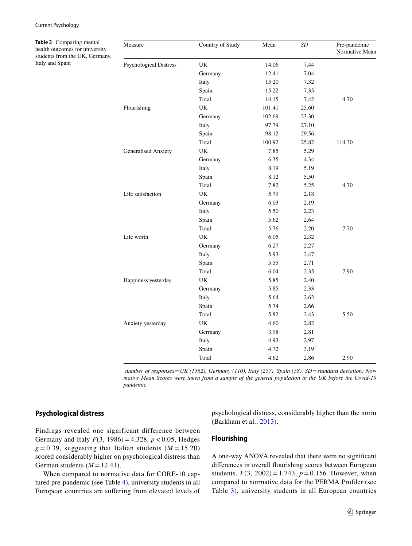<span id="page-6-0"></span>**Table 3** Comparing mental health outcomes for university students from the UK, Germany, Italy and Spain

| Measure                       | Country of Study                  | Mean   | SD    | Pre-pandemic<br>Normative Mean |
|-------------------------------|-----------------------------------|--------|-------|--------------------------------|
| <b>Psychological Distress</b> | UK                                | 14.06  | 7.44  |                                |
|                               | Germany                           | 12.41  | 7.04  |                                |
|                               | Italy                             | 15.20  | 7.32  |                                |
|                               | Spain                             | 15.22  | 7.35  |                                |
|                               | Total                             | 14.15  | 7.42  | 4.70                           |
| Flourishing                   | UK                                | 101.41 | 25.60 |                                |
|                               | Germany                           | 102.69 | 23.30 |                                |
|                               | Italy                             | 97.79  | 27.10 |                                |
|                               | Spain                             | 98.12  | 29.56 |                                |
|                               | Total                             | 100.92 | 25.82 | 114.30                         |
| Generalised Anxiety           | <b>UK</b>                         | 7.85   | 5.29  |                                |
|                               | Germany                           | 6.35   | 4.34  |                                |
|                               | Italy                             | 8.19   | 5.19  |                                |
|                               | Spain                             | 8.12   | 5.50  |                                |
|                               | Total                             | 7.82   | 5.25  | 4.70                           |
| Life satisfaction             | $\ensuremath{\mathsf{UK}}\xspace$ | 5.79   | 2.18  |                                |
|                               | Germany                           | 6.03   | 2.19  |                                |
|                               | Italy                             | 5.50   | 2.23  |                                |
|                               | Spain                             | 5.62   | 2.64  |                                |
|                               | Total                             | 5.76   | 2.20  | 7.70                           |
| Life worth                    | UK                                | 6.05   | 2.32  |                                |
|                               | Germany                           | 6.27   | 2.27  |                                |
|                               | Italy                             | 5.93   | 2.47  |                                |
|                               | Spain                             | 5.55   | 2.71  |                                |
|                               | Total                             | 6.04   | 2.35  | 7.90                           |
| Happiness yesterday           | UK                                | 5.85   | 2.40  |                                |
|                               | Germany                           | 5.85   | 2.33  |                                |
|                               | Italy                             | 5.64   | 2.62  |                                |
|                               | Spain                             | 5.74   | 2.66  |                                |
|                               | Total                             | 5.82   | 2.43  | 5.50                           |
| Anxiety yesterday             | UK                                | 4.60   | 2.82  |                                |
|                               | Germany                           | 3.98   | 2.81  |                                |
|                               | Italy                             | 4.93   | 2.97  |                                |
|                               | Spain                             | 4.72   | 3.19  |                                |
|                               | Total                             | 4.62   | 2.86  | 2.90                           |

 *number of responses*=*UK (1562), Germany (110), Italy (257), Spain (58). SD*=*standard deviation; Normative Mean Scores were taken from a sample of the general population in the UK before the Covid-19 pandemic*

# **Psychological distress**

Findings revealed one significant difference between Germany and Italy *F*(3, 1986) = 4.328, *p* < 0.05, Hedges  $g = 0.39$ , suggesting that Italian students ( $M = 15.20$ ) scored considerably higher on psychological distress than German students  $(M = 12.41)$ .

When compared to normative data for CORE-10 captured pre-pandemic (see Table [4\)](#page-7-0), university students in all European countries are sufering from elevated levels of psychological distress, considerably higher than the norm (Barkham et al., [2013\)](#page-12-13).

### **Flourishing**

A one-way ANOVA revealed that there were no signifcant diferences in overall fourishing scores between European students,  $F(3, 2002) = 1.743$ ,  $p = 0.156$ . However, when compared to normative data for the PERMA Profler (see Table [3\)](#page-6-0), university students in all European countries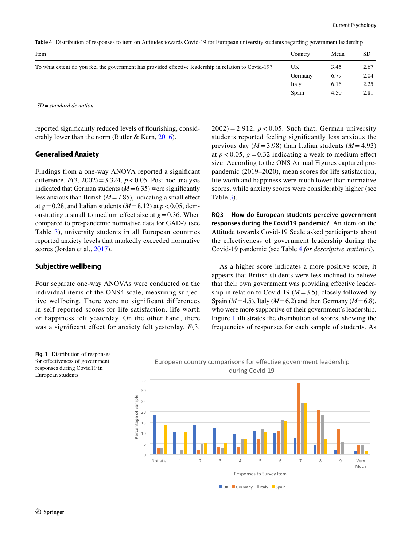| Item                                                                                                 | Country    | Mean | <b>SD</b> |
|------------------------------------------------------------------------------------------------------|------------|------|-----------|
| To what extent do you feel the government has provided effective leadership in relation to Covid-19? | UK<br>3.45 |      | 2.67      |
|                                                                                                      | Germany    | 6.79 | 2.04      |
|                                                                                                      | Italy      | 6.16 | 2.25      |
|                                                                                                      | Spain      | 4.50 | 2.81      |

<span id="page-7-0"></span>**Table 4** Distribution of responses to item on Attitudes towards Covid-19 for European university students regarding government leadership

 *SD*=*standard deviation*

reported signifcantly reduced levels of fourishing, considerably lower than the norm (Butler & Kern, [2016](#page-12-14)).

#### **Generalised Anxiety**

Findings from a one-way ANOVA reported a signifcant difference,  $F(3, 2002) = 3.324$ ,  $p < 0.05$ . Post hoc analysis indicated that German students  $(M=6.35)$  were significantly less anxious than British  $(M=7.85)$ , indicating a small effect at  $g = 0.28$ , and Italian students ( $M = 8.12$ ) at  $p < 0.05$ , demonstrating a small to medium effect size at  $g = 0.36$ . When compared to pre-pandemic normative data for GAD-7 (see Table [3\)](#page-6-0), university students in all European countries reported anxiety levels that markedly exceeded normative scores (Jordan et al., [2017](#page-12-17)).

### **Subjective wellbeing**

Four separate one-way ANOVAs were conducted on the individual items of the ONS4 scale, measuring subjective wellbeing. There were no significant differences in self-reported scores for life satisfaction, life worth or happiness felt yesterday. On the other hand, there was a signifcant efect for anxiety felt yesterday, *F*(3,

 $2002$ ) = 2.912,  $p < 0.05$ . Such that, German university students reported feeling signifcantly less anxious the previous day ( $M = 3.98$ ) than Italian students ( $M = 4.93$ ) at  $p < 0.05$ ,  $g = 0.32$  indicating a weak to medium effect size. According to the ONS Annual Figures captured prepandemic (2019–2020), mean scores for life satisfaction, life worth and happiness were much lower than normative scores, while anxiety scores were considerably higher (see Table [3](#page-6-0)).

**RQ3 – How do European students perceive government responses during the Covid19 pandemic?** An item on the Attitude towards Covid-19 Scale asked participants about the effectiveness of government leadership during the Covid-19 pandemic (see Table [4](#page-7-0) *for descriptive statistics*).

As a higher score indicates a more positive score, it appears that British students were less inclined to believe that their own government was providing efective leadership in relation to Covid-19 ( $M = 3.5$ ), closely followed by Spain ( $M=4.5$ ), Italy ( $M=6.2$ ) and then Germany ( $M=6.8$ ), who were more supportive of their government's leadership. Figure [1](#page-7-1) illustrates the distribution of scores, showing the frequencies of responses for each sample of students. As



<span id="page-7-1"></span>**Fig. 1** Distribution of responses for efectiveness of government responses during Covid19 in European students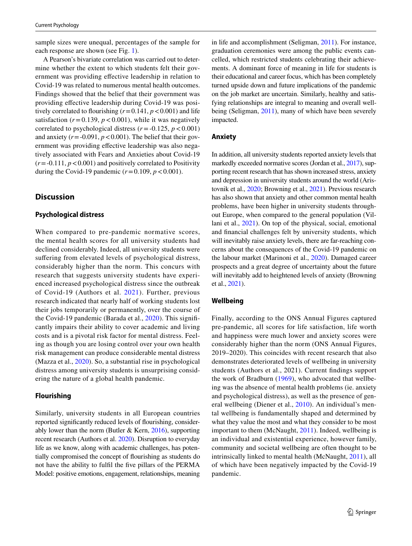sample sizes were unequal, percentages of the sample for each response are shown (see Fig. [1](#page-7-1)).

A Pearson's bivariate correlation was carried out to determine whether the extent to which students felt their government was providing efective leadership in relation to Covid-19 was related to numerous mental health outcomes. Findings showed that the belief that their government was providing efective leadership during Covid-19 was positively correlated to flourishing  $(r=0.141, p<0.001)$  and life satisfaction  $(r=0.139, p<0.001)$ , while it was negatively correlated to psychological distress  $(r = -0.125, p < 0.001)$ and anxiety  $(r = -0.091, p < 0.001)$ . The belief that their government was providing efective leadership was also negatively associated with Fears and Anxieties about Covid-19  $(r = -0.111, p < 0.001)$  and positively correlated to Positivity during the Covid-19 pandemic  $(r=0.109, p<0.001)$ .

# **Discussion**

### **Psychological distress**

When compared to pre-pandemic normative scores, the mental health scores for all university students had declined considerably. Indeed, all university students were sufering from elevated levels of psychological distress, considerably higher than the norm. This concurs with research that suggests university students have experienced increased psychological distress since the outbreak of Covid-19 (Authors et al. [2021](#page-12-18)). Further, previous research indicated that nearly half of working students lost their jobs temporarily or permanently, over the course of the Covid-19 pandemic (Barada et al., [2020\)](#page-12-19). This signifcantly impairs their ability to cover academic and living costs and is a pivotal risk factor for mental distress. Feeling as though you are losing control over your own health risk management can produce considerable mental distress (Mazza et al., [2020\)](#page-12-20). So, a substantial rise in psychological distress among university students is unsurprising considering the nature of a global health pandemic.

### **Flourishing**

Similarly, university students in all European countries reported signifcantly reduced levels of fourishing, considerably lower than the norm (Butler  $&$  Kern, [2016](#page-12-14)), supporting recent research (Authors et al. [2020\)](#page-12-12). Disruption to everyday life as we know, along with academic challenges, has potentially compromised the concept of fourishing as students do not have the ability to fulfl the fve pillars of the PERMA Model: positive emotions, engagement, relationships, meaning in life and accomplishment (Seligman, [2011\)](#page-13-9). For instance, graduation ceremonies were among the public events cancelled, which restricted students celebrating their achievements. A dominant force of meaning in life for students is their educational and career focus, which has been completely turned upside down and future implications of the pandemic on the job market are uncertain. Similarly, healthy and satisfying relationships are integral to meaning and overall wellbeing (Seligman, [2011](#page-13-9)), many of which have been severely impacted.

### **Anxiety**

In addition, all university students reported anxiety levels that markedly exceeded normative scores (Jordan et al., [2017](#page-12-17)), supporting recent research that has shown increased stress, anxiety and depression in university students around the world (Aristovnik et al., [2020;](#page-12-2) Browning et al., [2021](#page-12-9)). Previous research has also shown that anxiety and other common mental health problems, have been higher in university students throughout Europe, when compared to the general population (Villani et al., [2021\)](#page-13-1). On top of the physical, social, emotional and fnancial challenges felt by university students, which will inevitably raise anxiety levels, there are far-reaching concerns about the consequences of the Covid-19 pandemic on the labour market (Marinoni et al., [2020\)](#page-12-8). Damaged career prospects and a great degree of uncertainty about the future will inevitably add to heightened levels of anxiety (Browning et al., [2021](#page-12-9)).

### **Wellbeing**

Finally, according to the ONS Annual Figures captured pre-pandemic, all scores for life satisfaction, life worth and happiness were much lower and anxiety scores were considerably higher than the norm (ONS Annual Figures, 2019–2020). This coincides with recent research that also demonstrates deteriorated levels of wellbeing in university students (Authors et al., 2021). Current fndings support the work of Bradburn ([1969](#page-12-21)), who advocated that wellbeing was the absence of mental health problems (ie. anxiety and psychological distress), as well as the presence of general wellbeing (Diener et al., [2010\)](#page-12-22). An individual's mental wellbeing is fundamentally shaped and determined by what they value the most and what they consider to be most important to them (McNaught, [2011\)](#page-12-23). Indeed, wellbeing is an individual and existential experience, however family, community and societal wellbeing are often thought to be intrinsically linked to mental health (McNaught, [2011\)](#page-12-23), all of which have been negatively impacted by the Covid-19 pandemic.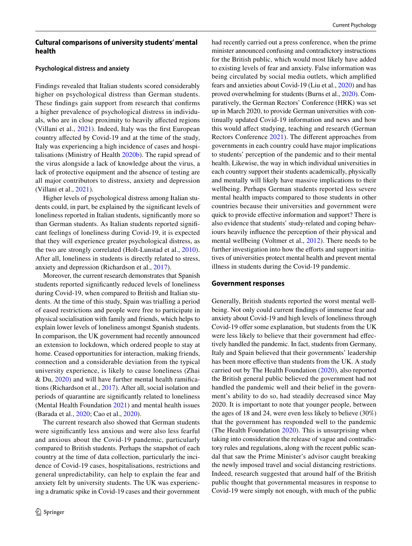## **Cultural comparisons of university students' mental health**

### **Psychological distress and anxiety**

Findings revealed that Italian students scored considerably higher on psychological distress than German students. These fndings gain support from research that confrms a higher prevalence of psychological distress in individuals, who are in close proximity to heavily afected regions (Villani et al., [2021](#page-13-1)). Indeed, Italy was the frst European country afected by Covid-19 and at the time of the study, Italy was experiencing a high incidence of cases and hospitalisations (Ministry of Health [2020b\)](#page-12-1). The rapid spread of the virus alongside a lack of knowledge about the virus, a lack of protective equipment and the absence of testing are all major contributors to distress, anxiety and depression (Villani et al., [2021](#page-13-1)).

Higher levels of psychological distress among Italian students could, in part, be explained by the signifcant levels of loneliness reported in Italian students, signifcantly more so than German students. As Italian students reported signifcant feelings of loneliness during Covid-19, it is expected that they will experience greater psychological distress, as the two are strongly correlated (Holt-Lunstad et al., [2010](#page-12-24)). After all, loneliness in students is directly related to stress, anxiety and depression (Richardson et al., [2017](#page-13-10)).

Moreover, the current research demonstrates that Spanish students reported signifcantly reduced levels of loneliness during Covid-19, when compared to British and Italian students. At the time of this study, Spain was trialling a period of eased restrictions and people were free to participate in physical socialisation with family and friends, which helps to explain lower levels of loneliness amongst Spanish students. In comparison, the UK government had recently announced an extension to lockdown, which ordered people to stay at home. Ceased opportunities for interaction, making friends, connection and a considerable deviation from the typical university experience, is likely to cause loneliness (Zhai & Du, [2020\)](#page-13-4) and will have further mental health ramifcations (Richardson et al., [2017\)](#page-13-10). After all, social isolation and periods of quarantine are signifcantly related to loneliness (Mental Health Foundation [2021](#page-12-25)) and mental health issues (Barada et al., [2020](#page-12-19); Cao et al., [2020\)](#page-12-5).

The current research also showed that German students were signifcantly less anxious and were also less fearful and anxious about the Covid-19 pandemic, particularly compared to British students. Perhaps the snapshot of each country at the time of data collection, particularly the incidence of Covid-19 cases, hospitalisations, restrictions and general unpredictability, can help to explain the fear and anxiety felt by university students. The UK was experiencing a dramatic spike in Covid-19 cases and their government had recently carried out a press conference, when the prime minister announced confusing and contradictory instructions for the British public, which would most likely have added to existing levels of fear and anxiety. False information was being circulated by social media outlets, which amplifed fears and anxieties about Covid-19 (Liu et al., [2020\)](#page-12-26) and has proved overwhelming for students (Burns et al., [2020\)](#page-12-7). Comparatively, the German Rectors' Conference (HRK) was set up in March 2020, to provide German universities with continually updated Covid-19 information and news and how this would afect studying, teaching and research (German Rectors Conference [2021](#page-12-27)). The diferent approaches from governments in each country could have major implications to students' perception of the pandemic and to their mental health. Likewise, the way in which individual universities in each country support their students academically, physically and mentally will likely have massive implications to their wellbeing. Perhaps German students reported less severe mental health impacts compared to those students in other countries because their universities and government were quick to provide efective information and support? There is also evidence that students' study-related and coping behaviours heavily infuence the perception of their physical and mental wellbeing (Voltmer et al., [2012](#page-13-11)). There needs to be further investigation into how the efforts and support initiatives of universities protect mental health and prevent mental illness in students during the Covid-19 pandemic.

#### **Government responses**

Generally, British students reported the worst mental wellbeing. Not only could current fndings of immense fear and anxiety about Covid-19 and high levels of loneliness through Covid-19 offer some explanation, but students from the UK were less likely to believe that their government had efectively handled the pandemic. In fact, students from Germany, Italy and Spain believed that their governments' leadership has been more effective than students from the UK. A study carried out by The Health Foundation [\(2020\)](#page-13-12), also reported the British general public believed the government had not handled the pandemic well and their belief in the government's ability to do so, had steadily decreased since May 2020. It is important to note that younger people, between the ages of 18 and 24, were even less likely to believe (30%) that the government has responded well to the pandemic (The Health Foundation [2020](#page-13-12)). This is unsurprising when taking into consideration the release of vague and contradictory rules and regulations, along with the recent public scandal that saw the Prime Minister's advisor caught breaking the newly imposed travel and social distancing restrictions. Indeed, research suggested that around half of the British public thought that governmental measures in response to Covid-19 were simply not enough, with much of the public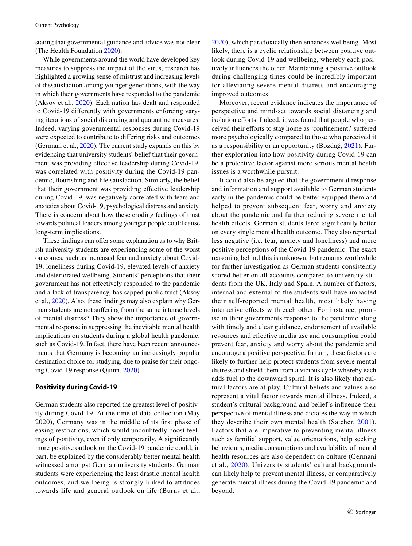stating that governmental guidance and advice was not clear (The Health Foundation [2020\)](#page-13-12).

While governments around the world have developed key measures to suppress the impact of the virus, research has highlighted a growing sense of mistrust and increasing levels of dissatisfaction among younger generations, with the way in which their governments have responded to the pandemic (Aksoy et al., [2020\)](#page-12-28). Each nation has dealt and responded to Covid-19 diferently with governments enforcing varying iterations of social distancing and quarantine measures. Indeed, varying governmental responses during Covid-19 were expected to contribute to difering risks and outcomes (Germani et al., [2020](#page-12-29)). The current study expands on this by evidencing that university students' belief that their government was providing efective leadership during Covid-19, was correlated with positivity during the Covid-19 pandemic, fourishing and life satisfaction. Similarly, the belief that their government was providing efective leadership during Covid-19, was negatively correlated with fears and anxieties about Covid-19, psychological distress and anxiety. There is concern about how these eroding feelings of trust towards political leaders among younger people could cause long-term implications.

These findings can offer some explanation as to why British university students are experiencing some of the worst outcomes, such as increased fear and anxiety about Covid-19, loneliness during Covid-19, elevated levels of anxiety and deteriorated wellbeing. Students' perceptions that their government has not efectively responded to the pandemic and a lack of transparency, has sapped public trust (Aksoy et al., [2020\)](#page-12-28). Also, these fndings may also explain why German students are not sufering from the same intense levels of mental distress? They show the importance of governmental response in suppressing the inevitable mental health implications on students during a global health pandemic, such as Covid-19. In fact, there have been recent announcements that Germany is becoming an increasingly popular destination choice for studying, due to praise for their ongoing Covid-19 response (Quinn, [2020](#page-13-13)).

# **Positivity during Covid‑19**

German students also reported the greatest level of positivity during Covid-19. At the time of data collection (May 2020), Germany was in the middle of its frst phase of easing restrictions, which would undoubtedly boost feelings of positivity, even if only temporarily. A signifcantly more positive outlook on the Covid-19 pandemic could, in part, be explained by the considerably better mental health witnessed amongst German university students. German students were experiencing the least drastic mental health outcomes, and wellbeing is strongly linked to attitudes towards life and general outlook on life (Burns et al.,

[2020](#page-12-7)), which paradoxically then enhances wellbeing. Most likely, there is a cyclic relationship between positive outlook during Covid-19 and wellbeing, whereby each positively infuences the other. Maintaining a positive outlook during challenging times could be incredibly important for alleviating severe mental distress and encouraging improved outcomes.

Moreover, recent evidence indicates the importance of perspective and mind-set towards social distancing and isolation efforts. Indeed, it was found that people who perceived their eforts to stay home as 'confnement,' sufered more psychologically compared to those who perceived it as a responsibility or an opportunity (Bozdağ, [2021](#page-12-30)). Further exploration into how positivity during Covid-19 can be a protective factor against more serious mental health issues is a worthwhile pursuit.

It could also be argued that the governmental response and information and support available to German students early in the pandemic could be better equipped them and helped to prevent subsequent fear, worry and anxiety about the pandemic and further reducing severe mental health effects. German students fared significantly better on every single mental health outcome. They also reported less negative (i.e. fear, anxiety and loneliness) and more positive perceptions of the Covid-19 pandemic. The exact reasoning behind this is unknown, but remains worthwhile for further investigation as German students consistently scored better on all accounts compared to university students from the UK, Italy and Spain. A number of factors, internal and external to the students will have impacted their self-reported mental health, most likely having interactive efects with each other. For instance, promise in their governments response to the pandemic along with timely and clear guidance, endorsement of available resources and efective media use and consumption could prevent fear, anxiety and worry about the pandemic and encourage a positive perspective. In turn, these factors are likely to further help protect students from severe mental distress and shield them from a vicious cycle whereby each adds fuel to the downward spiral. It is also likely that cultural factors are at play. Cultural beliefs and values also represent a vital factor towards mental illness. Indeed, a student's cultural background and belief's infuence their perspective of mental illness and dictates the way in which they describe their own mental health (Satcher, [2001](#page-13-6)). Factors that are imperative to preventing mental illness such as familial support, value orientations, help seeking behaviours, media consumptions and availability of mental health resources are also dependent on culture (Germani et al., [2020\)](#page-12-29). University students' cultural backgrounds can likely help to prevent mental illness, or comparatively generate mental illness during the Covid-19 pandemic and beyond.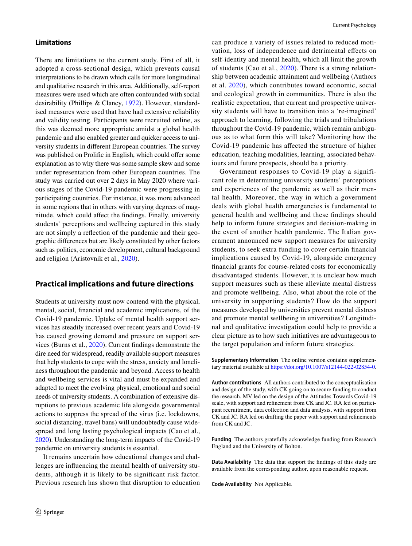#### **Limitations**

There are limitations to the current study. First of all, it adopted a cross-sectional design, which prevents causal interpretations to be drawn which calls for more longitudinal and qualitative research in this area. Additionally, self-report measures were used which are often confounded with social desirability (Phillips & Clancy, [1972](#page-13-14)). However, standardised measures were used that have had extensive reliability and validity testing. Participants were recruited online, as this was deemed more appropriate amidst a global health pandemic and also enabled greater and quicker access to university students in diferent European countries. The survey was published on Prolific in English, which could offer some explanation as to why there was some sample skew and some under representation from other European countries. The study was carried out over 2 days in May 2020 where various stages of the Covid-19 pandemic were progressing in participating countries. For instance, it was more advanced in some regions that in others with varying degrees of magnitude, which could afect the fndings. Finally, university students' perceptions and wellbeing captured in this study are not simply a refection of the pandemic and their geographic diferences but are likely constituted by other factors such as politics, economic development, cultural background and religion (Aristovnik et al., [2020\)](#page-12-2).

### **Practical implications and future directions**

Students at university must now contend with the physical, mental, social, fnancial and academic implications, of the Covid-19 pandemic. Uptake of mental health support services has steadily increased over recent years and Covid-19 has caused growing demand and pressure on support services (Burns et al., [2020\)](#page-12-7). Current fndings demonstrate the dire need for widespread, readily available support measures that help students to cope with the stress, anxiety and loneliness throughout the pandemic and beyond. Access to health and wellbeing services is vital and must be expanded and adapted to meet the evolving physical, emotional and social needs of university students. A combination of extensive disruptions to previous academic life alongside governmental actions to suppress the spread of the virus (i.e. lockdowns, social distancing, travel bans) will undoubtedly cause widespread and long lasting psychological impacts (Cao et al., [2020\)](#page-12-5). Understanding the long-term impacts of the Covid-19 pandemic on university students is essential.

It remains uncertain how educational changes and challenges are infuencing the mental health of university students, although it is likely to be signifcant risk factor. Previous research has shown that disruption to education can produce a variety of issues related to reduced motivation, loss of independence and detrimental efects on self-identity and mental health, which all limit the growth of students (Cao et al., [2020\)](#page-12-5). There is a strong relationship between academic attainment and wellbeing (Authors et al. [2020\)](#page-12-12), which contributes toward economic, social and ecological growth in communities. There is also the realistic expectation, that current and prospective university students will have to transition into a 're-imagined' approach to learning, following the trials and tribulations throughout the Covid-19 pandemic, which remain ambiguous as to what form this will take? Monitoring how the Covid-19 pandemic has afected the structure of higher education, teaching modalities, learning, associated behaviours and future prospects, should be a priority.

Government responses to Covid-19 play a significant role in determining university students' perceptions and experiences of the pandemic as well as their mental health. Moreover, the way in which a government deals with global health emergencies is fundamental to general health and wellbeing and these fndings should help to inform future strategies and decision-making in the event of another health pandemic. The Italian government announced new support measures for university students, to seek extra funding to cover certain fnancial implications caused by Covid-19, alongside emergency fnancial grants for course-related costs for economically disadvantaged students. However, it is unclear how much support measures such as these alleviate mental distress and promote wellbeing. Also, what about the role of the university in supporting students? How do the support measures developed by universities prevent mental distress and promote mental wellbeing in universities? Longitudinal and qualitative investigation could help to provide a clear picture as to how such initiatives are advantageous to the target population and inform future strategies.

**Supplementary Information** The online version contains supplementary material available at<https://doi.org/10.1007/s12144-022-02854-0>.

**Author contributions** All authors contributed to the conceptualisation and design of the study, with CK going on to secure funding to conduct the research. MV led on the design of the Attitudes Towards Covid-19 scale, with support and refnement from CK and JC. RA led on participant recruitment, data collection and data analysis, with support from CK and JC. RA led on drafting the paper with support and refnements from CK and JC.

**Funding** The authors gratefully acknowledge funding from Research England and the University of Bolton.

**Data Availability** The data that support the fndings of this study are available from the corresponding author, upon reasonable request.

**Code Availability** Not Applicable.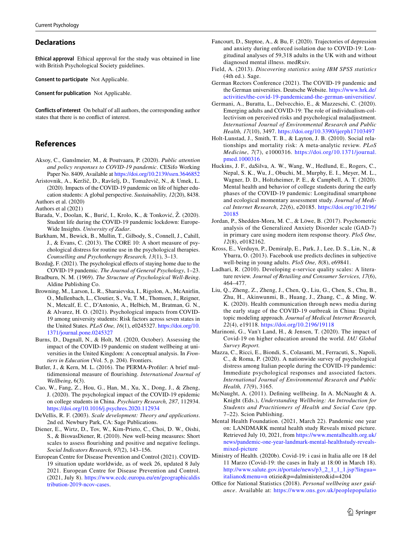#### **Declarations**

**Ethical approval** Ethical approval for the study was obtained in line with British Psychological Society guidelines.

**Consent to participate** Not Applicable.

**Consent for publication** Not Applicable.

**Conflicts of interest** On behalf of all authors, the corresponding author states that there is no confict of interest.

# **References**

- <span id="page-12-28"></span>Aksoy, C., Ganslmeier, M., & Poutvaara, P. (2020). *Public attention and policy responses to COVID-19 pandemic*. CESifo Working Paper No. 8409, Available at <https://doi.org/10.2139/ssrn.3646852>
- <span id="page-12-2"></span>Aristovnik, A., Keržič, D., Ravšelj, D., Tomaževič, N., & Umek, L. (2020). Impacts of the COVID-19 pandemic on life of higher education students: A global perspective. *Sustainability, 12*(20), 8438. Authors et al. (2020)
- <span id="page-12-18"></span><span id="page-12-12"></span>Authors et al (2021)
- <span id="page-12-19"></span>Barada, V., Doolan, K., Burić, I., Krolo, K., & Tonković, Ž. (2020). Student life during the COVID-19 pandemic lockdown: Europe-Wide Insights. *University of Zadar*.
- <span id="page-12-13"></span>Barkham, M., Bewick, B., Mullin, T., Gilbody, S., Connell, J., Cahill, J., & Evans, C. (2013). The CORE 10: A short measure of psychological distress for routine use in the psychological therapies. *Counselling and Psychotherapy Research, 13*(1), 3–13.
- <span id="page-12-30"></span>Bozdağ, F. (2021). The psychological effects of staying home due to the COVID-19 pandemic. *The Journal of General Psychology*, 1–23.
- <span id="page-12-21"></span>Bradburn, N. M. (1969). *The Structure of Psychological Well-Being*. Aldine Publishing Co.
- <span id="page-12-9"></span>Browning, M., Larson, L. R., Sharaievska, I., Rigolon, A., McAnirlin, O., Mullenbach, L., Cloutier, S., Vu, T. M., Thomsen, J., Reigner, N., Metcalf, E. C., D'Antonio, A., Helbich, M., Bratman, G. N., & Alvarez, H. O. (2021). Psychological impacts from COVID-19 among university students: Risk factors across seven states in the United States. *PLoS One, 16*(1), e0245327. [https://doi.org/10.](https://doi.org/10.1371/journal.pone.0245327) [1371/journal.pone.0245327](https://doi.org/10.1371/journal.pone.0245327)
- <span id="page-12-7"></span>Burns, D., Dagnall, N., & Holt, M. (2020, October). Assessing the impact of the COVID-19 pandemic on student wellbeing at universities in the United Kingdom: A conceptual analysis. In *Frontiers in Education* (Vol. 5, p. 204). Frontiers.
- <span id="page-12-14"></span>Butler, J., & Kern, M. L. (2016). The PERMA-Profler: A brief multidimensional measure of fourishing*. International Journal of Wellbeing*, 6(3).
- <span id="page-12-5"></span>Cao, W., Fang, Z., Hou, G., Han, M., Xu, X., Dong, J., & Zheng, J. (2020). The psychological impact of the COVID-19 epidemic on college students in China. *Psychiatry Research, 287*, 112934. <https://doi.org/10.1016/j.psychres.2020.112934>
- <span id="page-12-11"></span>DeVellis, R. F. (2003). *Scale development: Theory and applications*. 2nd ed. Newbury Park, CA: Sage Publications.
- <span id="page-12-22"></span>Diener, E., Wirtz, D., Tov, W., Kim-Prieto, C., Choi, D. W., Oishi, S., & BiswasDiener, R. (2010). New well-being measures: Short scales to assess fourishing and positive and negative feelings. *Social Indicators Research, 97*(2), 143–156.
- <span id="page-12-0"></span>European Centre for Disease Prevention and Control (2021). COVID-19 situation update worldwide, as of week 26, updated 8 July 2021. European Centre for Disease Prevention and Control. (2021, July 8). [https://www.ecdc.europa.eu/en/geographicaldis](https://www.ecdc.europa.eu/en/geographicaldistribution-2019-ncov-cases) [tribution-2019-ncov-cases](https://www.ecdc.europa.eu/en/geographicaldistribution-2019-ncov-cases).
- <span id="page-12-4"></span>Fancourt, D., Steptoe, A., & Bu, F. (2020). Trajectories of depression and anxiety during enforced isolation due to COVID-19: Longitudinal analyses of 59,318 adults in the UK with and without diagnosed mental illness. medRxiv.
- <span id="page-12-16"></span>Field, A. (2013). *Discovering statistics using IBM SPSS statistics* (4th ed.). Sage.
- <span id="page-12-27"></span>German Rectors Conference (2021). The COVID-19 pandemic and the German universities. Deutsche Website. [https://www.hrk.de/](https://www.hrk.de/activities/the-covid-19-pandemicand-the-german-universities/) [activities/the-covid-19-pandemicand-the-german-universities/](https://www.hrk.de/activities/the-covid-19-pandemicand-the-german-universities/).
- <span id="page-12-29"></span>Germani, A., Buratta, L., Delvecchio, E., & Mazzeschi, C. (2020). Emerging adults and COVID-19: The role of individualism-collectivism on perceived risks and psychological maladjustment. *International Journal of Environmental Research and Public Health, 17*(10), 3497. <https://doi.org/10.3390/ijerph17103497>
- <span id="page-12-24"></span>Holt-Lunstad, J., Smith, T. B., & Layton, J. B. (2010). Social relationships and mortality risk: A meta-analytic review. *PLoS Medicine*, *7*(7), e1000316. [https://doi.org/10.1371/journal.](https://doi.org/10.1371/journal.pmed.1000316) [pmed.1000316](https://doi.org/10.1371/journal.pmed.1000316)
- <span id="page-12-6"></span>Huckins, J. F., daSilva, A. W., Wang, W., Hedlund, E., Rogers, C., Nepal, S. K., Wu, J., Obuchi, M., Murphy, E. I., Meyer, M. L., Wagner, D. D., Holtzheimer, P. E., & Campbell, A. T. (2020). Mental health and behavior of college students during the early phases of the COVID-19 pandemic: Longitudinal smartphone and ecological momentary assessment study. *Journal of Medical Internet Research*, *22*(6), e20185. [https://doi.org/10.2196/](https://doi.org/10.2196/20185) [20185](https://doi.org/10.2196/20185)
- <span id="page-12-17"></span>Jordan, P., Shedden-Mora, M. C., & Löwe, B. (2017). Psychometric analysis of the Generalized Anxiety Disorder scale (GAD-7) in primary care using modern item response theory. *PloS One, 12*(8), e0182162.
- <span id="page-12-3"></span>Kross, E., Verduyn, P., Demiralp, E., Park, J., Lee, D. S., Lin, N., & Ybarra, O. (2013). Facebook use predicts declines in subjective well-being in young adults. *PloS One, 8*(8), e69841.
- <span id="page-12-10"></span>Ladhari, R. (2010). Developing e-service quality scales: A literature review. *Journal of Retailing and Consumer Services, 17*(6), 464–477.
- <span id="page-12-26"></span>Liu, Q., Zheng, Z., Zheng, J., Chen, Q., Liu, G., Chen, S., Chu, B., Zhu, H., Akinwunmi, B., Huang, J., Zhang, C., & Ming, W. K. (2020). Health communication through news media during the early stage of the COVID-19 outbreak in China: Digital topic modeling approach. *Journal of Medical Internet Research, 22*(4), e19118.<https://doi.org/10.2196/19118>
- <span id="page-12-8"></span>Marinoni, G., Van't Land, H., & Jensen, T. (2020). The impact of Covid-19 on higher education around the world. *IAU Global Survey Report.*
- <span id="page-12-20"></span>Mazza, C., Ricci, E., Biondi, S., Colasanti, M., Ferracuti, S., Napoli, C., & Roma, P. (2020). A nationwide survey of psychological distress among Italian people during the COVID-19 pandemic: Immediate psychological responses and associated factors. *International Journal of Environmental Research and Public Health, 17*(9), 3165.
- <span id="page-12-23"></span>McNaught, A. (2011). Defning wellbeing. In A. McNaught & A. Knight (Eds.), *Understanding Wellbeing: An Introduction for Students and Practitioners of Health and Social Care* (pp. 7–22). Scion Publishing.
- <span id="page-12-25"></span>Mental Health Foundation. (2021, March 22). Pandemic one year on: LANDMARK mental health study Reveals mixed picture. Retrieved July 10, 2021, from [https://www.mentalhealth.org.uk/](https://www.mentalhealth.org.uk/news/pandemic-one-year-landmark-mental-healthstudy-reveals-mixed-picture) [news/pandemic-one-year-landmark-mental-healthstudy-reveals](https://www.mentalhealth.org.uk/news/pandemic-one-year-landmark-mental-healthstudy-reveals-mixed-picture)[mixed-picture](https://www.mentalhealth.org.uk/news/pandemic-one-year-landmark-mental-healthstudy-reveals-mixed-picture)
- <span id="page-12-1"></span>Ministry of Health. (2020b). Covid-19: i casi in Italia alle ore 18 del 11 Marzo (Covid-19: the cases in Italy at 18:00 in March 18). [http://www.salute.gov.it/portale/news/p3\\_2\\_1\\_1\\_1.jsp?lingua=](http://www.salute.gov.it/portale/news/p3_2_1_1_1.jsp?lingua=italiano&menu=n) [italiano&menu=n](http://www.salute.gov.it/portale/news/p3_2_1_1_1.jsp?lingua=italiano&menu=n) otizie&p=dalministero&id=4204
- <span id="page-12-15"></span>Office for National Statistics (2018). Personal wellbeing user guid*ance*. Available at: [https://www.ons.gov.uk/peoplepopulatio](https://www.ons.gov.uk/peoplepopulationandcommunity/wellbeing/methodologies/personalwellbeingsurveyuserguide)